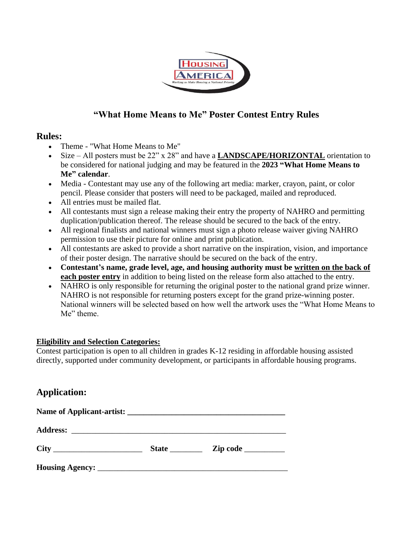

# **"What Home Means to Me" Poster Contest Entry Rules**

## **Rules:**

- Theme "What Home Means to Me"
- Size All posters must be 22" x 28" and have a **LANDSCAPE/HORIZONTAL** orientation to be considered for national judging and may be featured in the **2023 "What Home Means to Me" calendar**.
- Media Contestant may use any of the following art media: marker, crayon, paint, or color pencil. Please consider that posters will need to be packaged, mailed and reproduced.
- All entries must be mailed flat.
- All contestants must sign a release making their entry the property of NAHRO and permitting duplication/publication thereof. The release should be secured to the back of the entry.
- All regional finalists and national winners must sign a photo release waiver giving NAHRO permission to use their picture for online and print publication.
- All contestants are asked to provide a short narrative on the inspiration, vision, and importance of their poster design. The narrative should be secured on the back of the entry.
- **Contestant's name, grade level, age, and housing authority must be written on the back of each poster entry** in addition to being listed on the release form also attached to the entry.
- NAHRO is only responsible for returning the original poster to the national grand prize winner. NAHRO is not responsible for returning posters except for the grand prize-winning poster. National winners will be selected based on how well the artwork uses the "What Home Means to Me" theme.

### **Eligibility and Selection Categories:**

Contest participation is open to all children in grades K-12 residing in affordable housing assisted directly, supported under community development, or participants in affordable housing programs.

# **Application:**

| <b>State</b> | $\mathbf{Zip} \text{ code } \_\_\_\_\_\$ |
|--------------|------------------------------------------|
|              |                                          |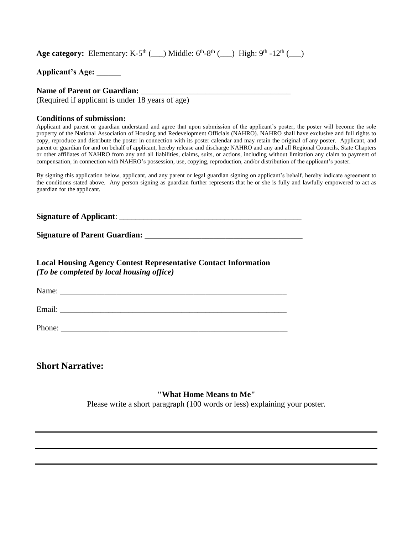**Age category:** Elementary: K-5<sup>th</sup> (\_\_) Middle:  $6<sup>th</sup>-8<sup>th</sup>$  (\_\_) High:  $9<sup>th</sup>$  -12<sup>th</sup> (\_\_)

| <b>Applicant's Age:</b> |  |
|-------------------------|--|
|-------------------------|--|

#### **Name of Parent or Guardian:** \_\_\_\_\_\_\_\_\_\_\_\_\_\_\_\_\_\_\_\_\_\_\_\_\_\_\_\_\_\_\_\_\_\_\_\_\_

(Required if applicant is under 18 years of age)

#### **Conditions of submission:**

Applicant and parent or guardian understand and agree that upon submission of the applicant's poster, the poster will become the sole property of the National Association of Housing and Redevelopment Officials (NAHRO). NAHRO shall have exclusive and full rights to copy, reproduce and distribute the poster in connection with its poster calendar and may retain the original of any poster. Applicant, and parent or guardian for and on behalf of applicant, hereby release and discharge NAHRO and any and all Regional Councils, State Chapters or other affiliates of NAHRO from any and all liabilities, claims, suits, or actions, including without limitation any claim to payment of compensation, in connection with NAHRO's possession, use, copying, reproduction, and/or distribution of the applicant's poster.

By signing this application below, applicant, and any parent or legal guardian signing on applicant's behalf, hereby indicate agreement to the conditions stated above. Any person signing as guardian further represents that he or she is fully and lawfully empowered to act as guardian for the applicant.

**Signature of Applicant:** 

**Signature of Parent Guardian:** 

**Local Housing Agency Contest Representative Contact Information**  *(To be completed by local housing office)*

Name: \_\_\_\_\_\_\_\_\_\_\_\_\_\_\_\_\_\_\_\_\_\_\_\_\_\_\_\_\_\_\_\_\_\_\_\_\_\_\_\_\_\_\_\_\_\_\_\_\_\_\_\_\_\_\_\_

Email: \_\_\_\_\_\_\_\_\_\_\_\_\_\_\_\_\_\_\_\_\_\_\_\_\_\_\_\_\_\_\_\_\_\_\_\_\_\_\_\_\_\_\_\_\_\_\_\_\_\_\_\_\_\_\_\_

Phone: \_\_\_\_\_\_\_\_\_\_\_\_\_\_\_\_\_\_\_\_\_\_\_\_\_\_\_\_\_\_\_\_\_\_\_\_\_\_\_\_\_\_\_\_\_\_\_\_\_\_\_\_\_\_\_\_

**Short Narrative:**

**"What Home Means to Me"**

Please write a short paragraph (100 words or less) explaining your poster.